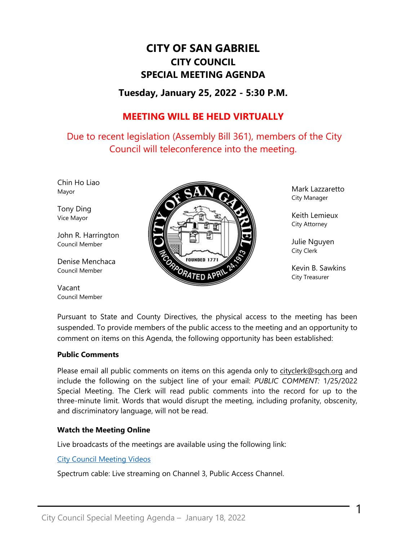# **CITY OF SAN GABRIEL CITY COUNCIL SPECIAL MEETING AGENDA**

# **Tuesday, January 25, 2022 - 5:30 P.M.**

# **MEETING WILL BE HELD VIRTUALLY**

Due to recent legislation (Assembly Bill 361), members of the City Council will teleconference into the meeting.

Chin Ho Liao Mayor

Tony Ding Vice Mayor

John R. Harrington Council Member

Denise Menchaca Council Member

Vacant Council Member



Mark Lazzaretto City Manager

Keith Lemieux City Attorney

Julie Nguyen City Clerk

Kevin B. Sawkins City Treasurer

1

Pursuant to State and County Directives, the physical access to the meeting has been suspended. To provide members of the public access to the meeting and an opportunity to comment on items on this Agenda, the following opportunity has been established:

#### **Public Comments**

Please email all public comments on items on this agenda only to [cityclerk@sgch.org](mailto:cityclerk@sgch.org) and include the following on the subject line of your email: *PUBLIC COMMENT:* 1/25/2022 Special Meeting. The Clerk will read public comments into the record for up to the three-minute limit. Words that would disrupt the meeting, including profanity, obscenity, and discriminatory language, will not be read.

### **Watch the Meeting Online**

Live broadcasts of the meetings are available using the following link:

#### [City Council Meeting Videos](https://www.youtube.com/CityofSanGabriel)

Spectrum cable: Live streaming on Channel 3, Public Access Channel.